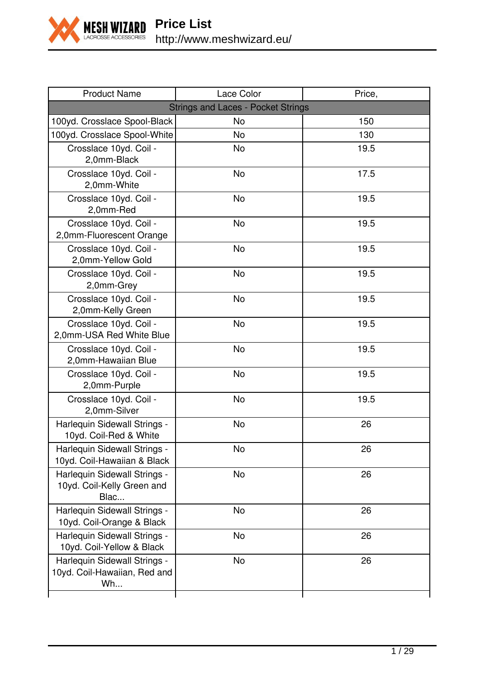

| <b>Product Name</b>                                                | Lace Color                                | Price, |
|--------------------------------------------------------------------|-------------------------------------------|--------|
|                                                                    | <b>Strings and Laces - Pocket Strings</b> |        |
| 100yd. Crosslace Spool-Black                                       | No                                        | 150    |
| 100yd. Crosslace Spool-White                                       | No                                        | 130    |
| Crosslace 10yd. Coil -<br>2,0mm-Black                              | No                                        | 19.5   |
| Crosslace 10yd. Coil -<br>2,0mm-White                              | <b>No</b>                                 | 17.5   |
| Crosslace 10yd. Coil -<br>2,0mm-Red                                | No                                        | 19.5   |
| Crosslace 10yd. Coil -<br>2,0mm-Fluorescent Orange                 | No                                        | 19.5   |
| Crosslace 10yd. Coil -<br>2,0mm-Yellow Gold                        | <b>No</b>                                 | 19.5   |
| Crosslace 10yd. Coil -<br>2,0mm-Grey                               | <b>No</b>                                 | 19.5   |
| Crosslace 10yd. Coil -<br>2,0mm-Kelly Green                        | No                                        | 19.5   |
| Crosslace 10yd. Coil -<br>2,0mm-USA Red White Blue                 | <b>No</b>                                 | 19.5   |
| Crosslace 10yd. Coil -<br>2,0mm-Hawaiian Blue                      | <b>No</b>                                 | 19.5   |
| Crosslace 10yd. Coil -<br>2,0mm-Purple                             | No                                        | 19.5   |
| Crosslace 10yd. Coil -<br>2,0mm-Silver                             | <b>No</b>                                 | 19.5   |
| Harlequin Sidewall Strings -<br>10yd. Coil-Red & White             | <b>No</b>                                 | 26     |
| Harlequin Sidewall Strings -<br>10yd. Coil-Hawaiian & Black        | No                                        | 26     |
| Harlequin Sidewall Strings -<br>10yd. Coil-Kelly Green and<br>Blac | <b>No</b>                                 | 26     |
| Harlequin Sidewall Strings -<br>10yd. Coil-Orange & Black          | No                                        | 26     |
| Harlequin Sidewall Strings -<br>10yd. Coil-Yellow & Black          | <b>No</b>                                 | 26     |
| Harlequin Sidewall Strings -<br>10yd. Coil-Hawaiian, Red and<br>Wh | No                                        | 26     |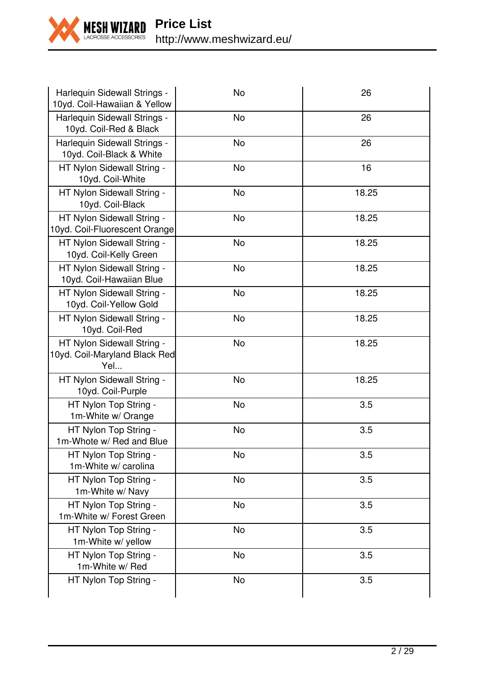

| Harlequin Sidewall Strings -<br>10yd. Coil-Hawaiian & Yellow       | No        | 26    |
|--------------------------------------------------------------------|-----------|-------|
| Harlequin Sidewall Strings -<br>10yd. Coil-Red & Black             | <b>No</b> | 26    |
| Harlequin Sidewall Strings -<br>10yd. Coil-Black & White           | <b>No</b> | 26    |
| HT Nylon Sidewall String -<br>10yd. Coil-White                     | No        | 16    |
| HT Nylon Sidewall String -<br>10yd. Coil-Black                     | <b>No</b> | 18.25 |
| HT Nylon Sidewall String -<br>10yd. Coil-Fluorescent Orange        | <b>No</b> | 18.25 |
| HT Nylon Sidewall String -<br>10yd. Coil-Kelly Green               | No        | 18.25 |
| HT Nylon Sidewall String -<br>10yd. Coil-Hawaiian Blue             | No        | 18.25 |
| HT Nylon Sidewall String -<br>10yd. Coil-Yellow Gold               | No        | 18.25 |
| HT Nylon Sidewall String -<br>10yd. Coil-Red                       | No        | 18.25 |
| HT Nylon Sidewall String -<br>10yd. Coil-Maryland Black Red<br>Yel | <b>No</b> | 18.25 |
| HT Nylon Sidewall String -<br>10yd. Coil-Purple                    | No        | 18.25 |
| HT Nylon Top String -<br>1m-White w/ Orange                        | <b>No</b> | 3.5   |
| HT Nylon Top String -<br>1m-Whote w/ Red and Blue                  | No        | 3.5   |
| HT Nylon Top String -<br>1m-White w/ carolina                      | No        | 3.5   |
| HT Nylon Top String -<br>1m-White w/ Navy                          | <b>No</b> | 3.5   |
| HT Nylon Top String -<br>1m-White w/ Forest Green                  | No        | 3.5   |
| HT Nylon Top String -<br>1m-White w/ yellow                        | <b>No</b> | 3.5   |
| HT Nylon Top String -<br>1m-White w/ Red                           | No        | 3.5   |
| HT Nylon Top String -                                              | No        | 3.5   |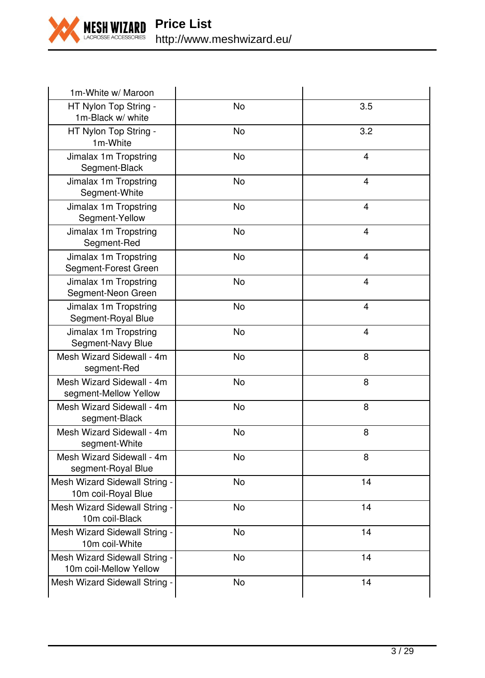

| 1m-White w/ Maroon                                      |           |     |
|---------------------------------------------------------|-----------|-----|
| HT Nylon Top String -<br>1m-Black w/ white              | No        | 3.5 |
| HT Nylon Top String -<br>1m-White                       | No        | 3.2 |
| Jimalax 1m Tropstring<br>Segment-Black                  | No.       | 4   |
| Jimalax 1m Tropstring<br>Segment-White                  | No        | 4   |
| Jimalax 1m Tropstring<br>Segment-Yellow                 | No        | 4   |
| Jimalax 1m Tropstring<br>Segment-Red                    | No        | 4   |
| Jimalax 1m Tropstring<br>Segment-Forest Green           | No        | 4   |
| Jimalax 1m Tropstring<br>Segment-Neon Green             | No        | 4   |
| Jimalax 1m Tropstring<br>Segment-Royal Blue             | <b>No</b> | 4   |
| Jimalax 1m Tropstring<br>Segment-Navy Blue              | <b>No</b> | 4   |
| Mesh Wizard Sidewall - 4m<br>segment-Red                | <b>No</b> | 8   |
| Mesh Wizard Sidewall - 4m<br>segment-Mellow Yellow      | No        | 8   |
| Mesh Wizard Sidewall - 4m<br>segment-Black              | <b>No</b> | 8   |
| Mesh Wizard Sidewall - 4m<br>segment-White              | No        | 8   |
| Mesh Wizard Sidewall - 4m<br>segment-Royal Blue         | <b>No</b> | 8   |
| Mesh Wizard Sidewall String -<br>10m coil-Royal Blue    | <b>No</b> | 14  |
| Mesh Wizard Sidewall String -<br>10m coil-Black         | <b>No</b> | 14  |
| Mesh Wizard Sidewall String -<br>10m coil-White         | <b>No</b> | 14  |
| Mesh Wizard Sidewall String -<br>10m coil-Mellow Yellow | <b>No</b> | 14  |
| Mesh Wizard Sidewall String -                           | No        | 14  |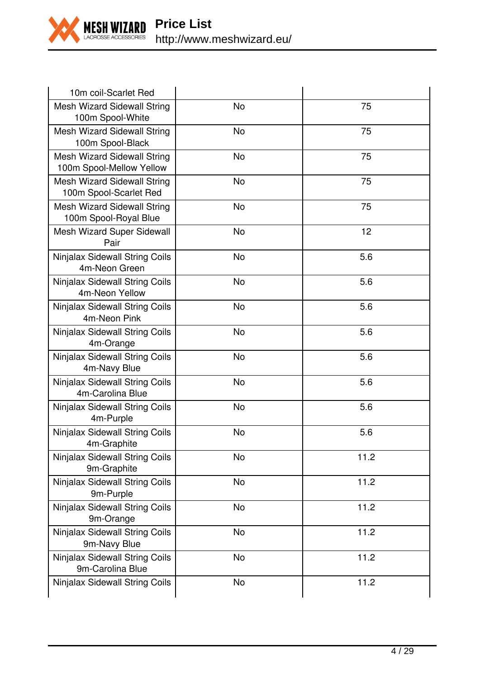

| 10m coil-Scarlet Red                                    |           |      |
|---------------------------------------------------------|-----------|------|
| Mesh Wizard Sidewall String<br>100m Spool-White         | No        | 75   |
| Mesh Wizard Sidewall String<br>100m Spool-Black         | No        | 75   |
| Mesh Wizard Sidewall String<br>100m Spool-Mellow Yellow | No        | 75   |
| Mesh Wizard Sidewall String<br>100m Spool-Scarlet Red   | No        | 75   |
| Mesh Wizard Sidewall String<br>100m Spool-Royal Blue    | No        | 75   |
| Mesh Wizard Super Sidewall<br>Pair                      | No        | 12   |
| Ninjalax Sidewall String Coils<br>4m-Neon Green         | <b>No</b> | 5.6  |
| Ninjalax Sidewall String Coils<br>4m-Neon Yellow        | No        | 5.6  |
| Ninjalax Sidewall String Coils<br>4m-Neon Pink          | No        | 5.6  |
| Ninjalax Sidewall String Coils<br>4m-Orange             | <b>No</b> | 5.6  |
| Ninjalax Sidewall String Coils<br>4m-Navy Blue          | No        | 5.6  |
| Ninjalax Sidewall String Coils<br>4m-Carolina Blue      | No        | 5.6  |
| Ninjalax Sidewall String Coils<br>4m-Purple             | No        | 5.6  |
| Ninjalax Sidewall String Coils<br>4m-Graphite           | No        | 5.6  |
| Ninjalax Sidewall String Coils<br>9m-Graphite           | No        | 11.2 |
| Ninjalax Sidewall String Coils<br>9m-Purple             | No        | 11.2 |
| Ninjalax Sidewall String Coils<br>9m-Orange             | <b>No</b> | 11.2 |
| Ninjalax Sidewall String Coils<br>9m-Navy Blue          | No        | 11.2 |
| Ninjalax Sidewall String Coils<br>9m-Carolina Blue      | No        | 11.2 |
| Ninjalax Sidewall String Coils                          | No        | 11.2 |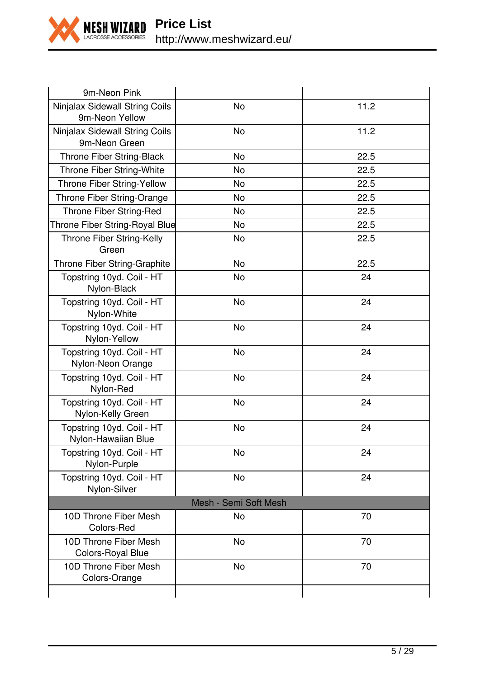

| 9m-Neon Pink                                     |                       |      |
|--------------------------------------------------|-----------------------|------|
| Ninjalax Sidewall String Coils<br>9m-Neon Yellow | No                    | 11.2 |
| Ninjalax Sidewall String Coils<br>9m-Neon Green  | <b>No</b>             | 11.2 |
| Throne Fiber String-Black                        | No                    | 22.5 |
| Throne Fiber String-White                        | No                    | 22.5 |
| Throne Fiber String-Yellow                       | No                    | 22.5 |
| Throne Fiber String-Orange                       | No                    | 22.5 |
| Throne Fiber String-Red                          | No                    | 22.5 |
| Throne Fiber String-Royal Blue                   | No                    | 22.5 |
| Throne Fiber String-Kelly<br>Green               | No                    | 22.5 |
| Throne Fiber String-Graphite                     | No                    | 22.5 |
| Topstring 10yd. Coil - HT<br>Nylon-Black         | No                    | 24   |
| Topstring 10yd. Coil - HT<br>Nylon-White         | No                    | 24   |
| Topstring 10yd. Coil - HT<br>Nylon-Yellow        | No                    | 24   |
| Topstring 10yd. Coil - HT<br>Nylon-Neon Orange   | <b>No</b>             | 24   |
| Topstring 10yd. Coil - HT<br>Nylon-Red           | <b>No</b>             | 24   |
| Topstring 10yd. Coil - HT<br>Nylon-Kelly Green   | No                    | 24   |
| Topstring 10yd. Coil - HT<br>Nylon-Hawaiian Blue | <b>No</b>             | 24   |
| Topstring 10yd. Coil - HT<br>Nylon-Purple        | <b>No</b>             | 24   |
| Topstring 10yd. Coil - HT<br>Nylon-Silver        | No                    | 24   |
|                                                  | Mesh - Semi Soft Mesh |      |
| 10D Throne Fiber Mesh<br>Colors-Red              | No                    | 70   |
| 10D Throne Fiber Mesh<br>Colors-Royal Blue       | No                    | 70   |
| 10D Throne Fiber Mesh<br>Colors-Orange           | No                    | 70   |
|                                                  |                       |      |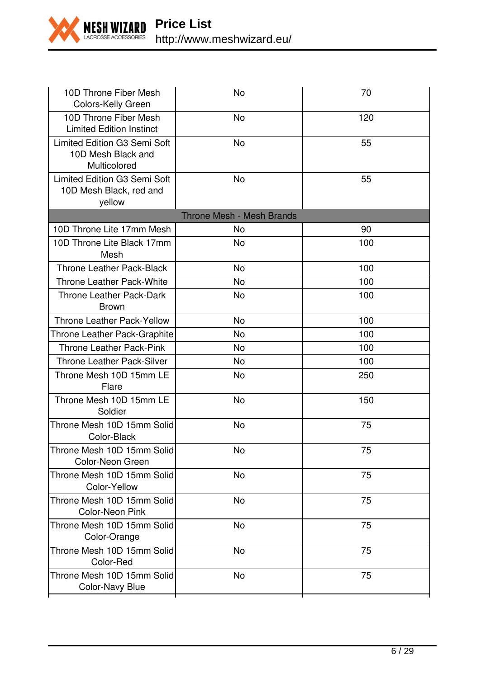

| 10D Throne Fiber Mesh<br>Colors-Kelly Green                        | No                               | 70  |
|--------------------------------------------------------------------|----------------------------------|-----|
| 10D Throne Fiber Mesh<br><b>Limited Edition Instinct</b>           | No                               | 120 |
| Limited Edition G3 Semi Soft<br>10D Mesh Black and<br>Multicolored | No                               | 55  |
| Limited Edition G3 Semi Soft<br>10D Mesh Black, red and<br>yellow  | No                               | 55  |
|                                                                    | <b>Throne Mesh - Mesh Brands</b> |     |
| 10D Throne Lite 17mm Mesh                                          | No                               | 90  |
| 10D Throne Lite Black 17mm<br>Mesh                                 | No                               | 100 |
| Throne Leather Pack-Black                                          | No                               | 100 |
| Throne Leather Pack-White                                          | No                               | 100 |
| Throne Leather Pack-Dark<br><b>Brown</b>                           | No                               | 100 |
| <b>Throne Leather Pack-Yellow</b>                                  | No                               | 100 |
| Throne Leather Pack-Graphite                                       | No                               | 100 |
| <b>Throne Leather Pack-Pink</b>                                    | No                               | 100 |
| <b>Throne Leather Pack-Silver</b>                                  | No                               | 100 |
| Throne Mesh 10D 15mm LE<br>Flare                                   | No                               | 250 |
| Throne Mesh 10D 15mm LE<br>Soldier                                 | No                               | 150 |
| Throne Mesh 10D 15mm Solid<br>Color-Black                          | No                               | 75  |
| Throne Mesh 10D 15mm Solid<br>Color-Neon Green                     | No                               | 75  |
| Throne Mesh 10D 15mm Solid<br>Color-Yellow                         | No                               | 75  |
| Throne Mesh 10D 15mm Solid<br>Color-Neon Pink                      | No                               | 75  |
| Throne Mesh 10D 15mm Solid<br>Color-Orange                         | No                               | 75  |
| Throne Mesh 10D 15mm Solid<br>Color-Red                            | No                               | 75  |
| Throne Mesh 10D 15mm Solid<br>Color-Navy Blue                      | No                               | 75  |
|                                                                    |                                  |     |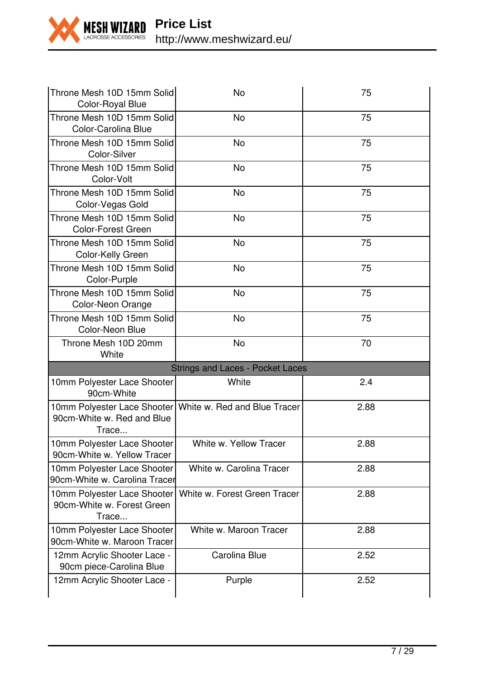

| Throne Mesh 10D 15mm Solid<br>Color-Royal Blue                                                    | No                                      | 75   |
|---------------------------------------------------------------------------------------------------|-----------------------------------------|------|
| Throne Mesh 10D 15mm Solid<br>Color-Carolina Blue                                                 | N <sub>o</sub>                          | 75   |
| Throne Mesh 10D 15mm Solid<br>Color-Silver                                                        | No                                      | 75   |
| Throne Mesh 10D 15mm Solid<br>Color-Volt                                                          | <b>No</b>                               | 75   |
| Throne Mesh 10D 15mm Solid<br>Color-Vegas Gold                                                    | No                                      | 75   |
| Throne Mesh 10D 15mm Solid<br>Color-Forest Green                                                  | No                                      | 75   |
| Throne Mesh 10D 15mm Solid<br>Color-Kelly Green                                                   | No                                      | 75   |
| Throne Mesh 10D 15mm Solid<br>Color-Purple                                                        | No                                      | 75   |
| Throne Mesh 10D 15mm Solid<br>Color-Neon Orange                                                   | No                                      | 75   |
| Throne Mesh 10D 15mm Solid<br>Color-Neon Blue                                                     | No                                      | 75   |
| Throne Mesh 10D 20mm<br>White                                                                     | No                                      | 70   |
|                                                                                                   | <b>Strings and Laces - Pocket Laces</b> |      |
| 10mm Polyester Lace Shooter<br>90cm-White                                                         | White                                   | 2.4  |
| 10mm Polyester Lace Shooter   White w. Red and Blue Tracer<br>90cm-White w. Red and Blue<br>Trace |                                         | 2.88 |
| 10mm Polyester Lace Shooter<br>90cm-White w. Yellow Tracer                                        | White w. Yellow Tracer                  | 2.88 |
| 10mm Polyester Lace Shooter<br>90cm-White w. Carolina Tracer                                      | White w. Carolina Tracer                | 2.88 |
| 10mm Polyester Lace Shooter<br>90cm-White w. Forest Green<br>Trace                                | White w. Forest Green Tracer            | 2.88 |
| 10mm Polyester Lace Shooter<br>90cm-White w. Maroon Tracer                                        | White w. Maroon Tracer                  | 2.88 |
| 12mm Acrylic Shooter Lace -<br>90cm piece-Carolina Blue                                           | Carolina Blue                           | 2.52 |
|                                                                                                   |                                         |      |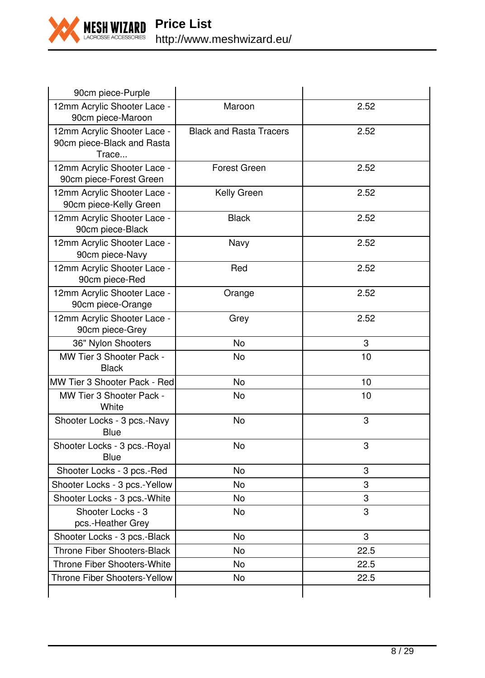

| 90cm piece-Purple                                                  |                                |      |
|--------------------------------------------------------------------|--------------------------------|------|
| 12mm Acrylic Shooter Lace -<br>90cm piece-Maroon                   | Maroon                         | 2.52 |
| 12mm Acrylic Shooter Lace -<br>90cm piece-Black and Rasta<br>Trace | <b>Black and Rasta Tracers</b> | 2.52 |
| 12mm Acrylic Shooter Lace -<br>90cm piece-Forest Green             | Forest Green                   | 2.52 |
| 12mm Acrylic Shooter Lace -<br>90cm piece-Kelly Green              | Kelly Green                    | 2.52 |
| 12mm Acrylic Shooter Lace -<br>90cm piece-Black                    | <b>Black</b>                   | 2.52 |
| 12mm Acrylic Shooter Lace -<br>90cm piece-Navy                     | Navy                           | 2.52 |
| 12mm Acrylic Shooter Lace -<br>90cm piece-Red                      | Red                            | 2.52 |
| 12mm Acrylic Shooter Lace -<br>90cm piece-Orange                   | Orange                         | 2.52 |
| 12mm Acrylic Shooter Lace -<br>90cm piece-Grey                     | Grey                           | 2.52 |
| 36" Nylon Shooters                                                 | <b>No</b>                      | 3    |
| MW Tier 3 Shooter Pack -<br><b>Black</b>                           | N <sub>o</sub>                 | 10   |
| MW Tier 3 Shooter Pack - Red                                       | No                             | 10   |
| MW Tier 3 Shooter Pack -<br>White                                  | No                             | 10   |
| Shooter Locks - 3 pcs.-Navy<br>Blue                                | <b>No</b>                      | 3    |
| Shooter Locks - 3 pcs.-Royal<br>Blue                               | No                             | 3    |
| Shooter Locks - 3 pcs.-Red                                         | <b>No</b>                      | 3    |
| Shooter Locks - 3 pcs.-Yellow                                      | <b>No</b>                      | 3    |
| Shooter Locks - 3 pcs.-White                                       | No                             | 3    |
| Shooter Locks - 3<br>pcs.-Heather Grey                             | No                             | 3    |
| Shooter Locks - 3 pcs.-Black                                       | <b>No</b>                      | 3    |
| Throne Fiber Shooters-Black                                        | No                             | 22.5 |
| Throne Fiber Shooters-White                                        | No                             | 22.5 |
| Throne Fiber Shooters-Yellow                                       | No                             | 22.5 |
|                                                                    |                                |      |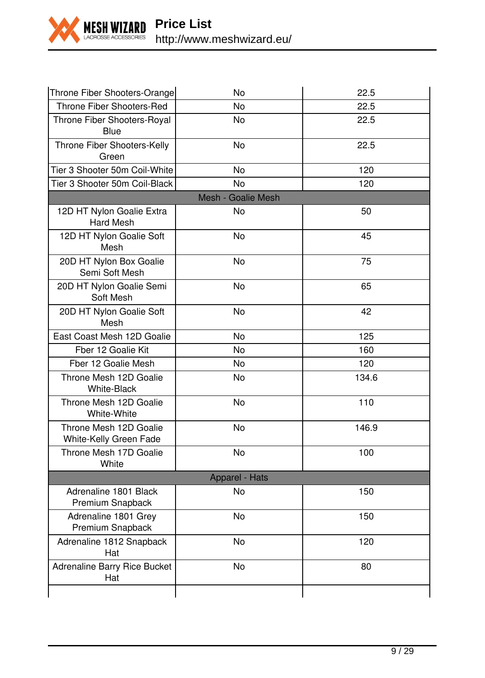

**Price List** http://www.meshwizard.eu/

| Throne Fiber Shooters-Orange                     | No                 | 22.5  |
|--------------------------------------------------|--------------------|-------|
| Throne Fiber Shooters-Red                        | <b>No</b>          | 22.5  |
| Throne Fiber Shooters-Royal<br>Blue              | <b>No</b>          | 22.5  |
| Throne Fiber Shooters-Kelly<br>Green             | <b>No</b>          | 22.5  |
| Tier 3 Shooter 50m Coil-White                    | No                 | 120   |
| Tier 3 Shooter 50m Coil-Black                    | <b>No</b>          | 120   |
|                                                  | Mesh - Goalie Mesh |       |
| 12D HT Nylon Goalie Extra<br><b>Hard Mesh</b>    | No.                | 50    |
| 12D HT Nylon Goalie Soft<br>Mesh                 | <b>No</b>          | 45    |
| 20D HT Nylon Box Goalie<br>Semi Soft Mesh        | <b>No</b>          | 75    |
| 20D HT Nylon Goalie Semi<br>Soft Mesh            | No                 | 65    |
| 20D HT Nylon Goalie Soft<br>Mesh                 | No                 | 42    |
| East Coast Mesh 12D Goalie                       | <b>No</b>          | 125   |
| Fber 12 Goalie Kit                               | N <sub>o</sub>     | 160   |
| Fber 12 Goalie Mesh                              | <b>No</b>          | 120   |
| Throne Mesh 12D Goalie<br><b>White-Black</b>     | N <sub>o</sub>     | 134.6 |
| Throne Mesh 12D Goalie<br>White-White            | No                 | 110   |
| Throne Mesh 12D Goalie<br>White-Kelly Green Fade | <b>No</b>          | 146.9 |
| Throne Mesh 17D Goalie<br>White                  | No                 | 100   |
|                                                  | Apparel - Hats     |       |
| Adrenaline 1801 Black<br>Premium Snapback        | No                 | 150   |
| Adrenaline 1801 Grey<br>Premium Snapback         | <b>No</b>          | 150   |
| Adrenaline 1812 Snapback<br>Hat                  | <b>No</b>          | 120   |
| Adrenaline Barry Rice Bucket<br>Hat              | No                 | 80    |
|                                                  |                    |       |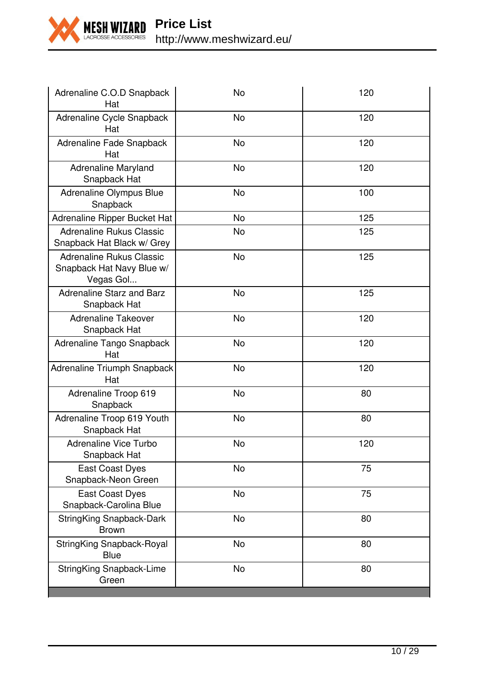

**Price List** http://www.meshwizard.eu/

| Adrenaline C.O.D Snapback<br>Hat                                   | No             | 120 |
|--------------------------------------------------------------------|----------------|-----|
| Adrenaline Cycle Snapback<br>Hat                                   | <b>No</b>      | 120 |
| Adrenaline Fade Snapback<br>Hat                                    | No             | 120 |
| <b>Adrenaline Maryland</b><br>Snapback Hat                         | No             | 120 |
| Adrenaline Olympus Blue<br>Snapback                                | No             | 100 |
| Adrenaline Ripper Bucket Hat                                       | <b>No</b>      | 125 |
| Adrenaline Rukus Classic<br>Snapback Hat Black w/ Grey             | No             | 125 |
| Adrenaline Rukus Classic<br>Snapback Hat Navy Blue w/<br>Vegas Gol | No             | 125 |
| Adrenaline Starz and Barz<br>Snapback Hat                          | No             | 125 |
| <b>Adrenaline Takeover</b><br>Snapback Hat                         | No             | 120 |
| Adrenaline Tango Snapback<br>Hat                                   | N <sub>o</sub> | 120 |
| Adrenaline Triumph Snapback<br>Hat                                 | <b>No</b>      | 120 |
| Adrenaline Troop 619<br>Snapback                                   | No             | 80  |
| Adrenaline Troop 619 Youth<br>Snapback Hat                         | No             | 80  |
| Adrenaline Vice Turbo<br>Snapback Hat                              | No             | 120 |
| <b>East Coast Dyes</b><br>Snapback-Neon Green                      | No             | 75  |
| <b>East Coast Dyes</b><br>Snapback-Carolina Blue                   | <b>No</b>      | 75  |
| StringKing Snapback-Dark<br><b>Brown</b>                           | <b>No</b>      | 80  |
| StringKing Snapback-Royal<br>Blue                                  | No             | 80  |
| StringKing Snapback-Lime<br>Green                                  | No             | 80  |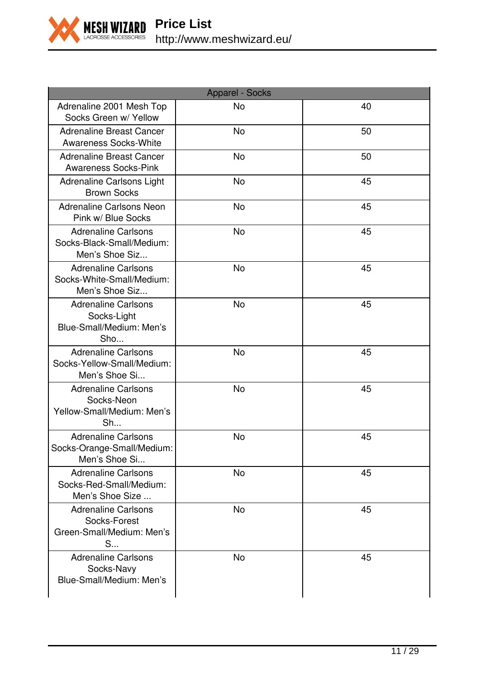

| <b>Apparel - Socks</b>                                                       |           |    |
|------------------------------------------------------------------------------|-----------|----|
| Adrenaline 2001 Mesh Top<br>Socks Green w/ Yellow                            | No        | 40 |
| Adrenaline Breast Cancer<br>Awareness Socks-White                            | <b>No</b> | 50 |
| <b>Adrenaline Breast Cancer</b><br>Awareness Socks-Pink                      | <b>No</b> | 50 |
| Adrenaline Carlsons Light<br><b>Brown Socks</b>                              | No        | 45 |
| Adrenaline Carlsons Neon<br>Pink w/ Blue Socks                               | <b>No</b> | 45 |
| <b>Adrenaline Carlsons</b><br>Socks-Black-Small/Medium:<br>Men's Shoe Siz    | No        | 45 |
| <b>Adrenaline Carlsons</b><br>Socks-White-Small/Medium:<br>Men's Shoe Siz    | No        | 45 |
| <b>Adrenaline Carlsons</b><br>Socks-Light<br>Blue-Small/Medium: Men's<br>Sho | No        | 45 |
| Adrenaline Carlsons<br>Socks-Yellow-Small/Medium:<br>Men's Shoe Si           | <b>No</b> | 45 |
| <b>Adrenaline Carlsons</b><br>Socks-Neon<br>Yellow-Small/Medium: Men's<br>Sh | No        | 45 |
| <b>Adrenaline Carlsons</b><br>Socks-Orange-Small/Medium:<br>Men's Shoe Si    | No        | 45 |
| <b>Adrenaline Carlsons</b><br>Socks-Red-Small/Medium:<br>Men's Shoe Size     | No        | 45 |
| <b>Adrenaline Carlsons</b><br>Socks-Forest<br>Green-Small/Medium: Men's<br>S | <b>No</b> | 45 |
| <b>Adrenaline Carlsons</b><br>Socks-Navy<br>Blue-Small/Medium: Men's         | No        | 45 |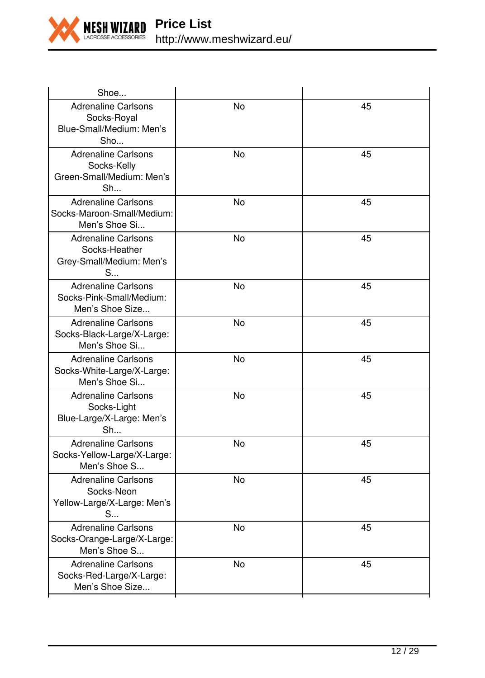

| Shoe                                                                         |                |    |
|------------------------------------------------------------------------------|----------------|----|
| <b>Adrenaline Carlsons</b><br>Socks-Royal<br>Blue-Small/Medium: Men's<br>Sho | No             | 45 |
| <b>Adrenaline Carlsons</b><br>Socks-Kelly<br>Green-Small/Medium: Men's<br>Sh | <b>No</b>      | 45 |
| <b>Adrenaline Carlsons</b><br>Socks-Maroon-Small/Medium:<br>Men's Shoe Si    | <b>No</b>      | 45 |
| <b>Adrenaline Carlsons</b><br>Socks-Heather<br>Grey-Small/Medium: Men's<br>S | No             | 45 |
| Adrenaline Carlsons<br>Socks-Pink-Small/Medium:<br>Men's Shoe Size           | N <sub>o</sub> | 45 |
| <b>Adrenaline Carlsons</b><br>Socks-Black-Large/X-Large:<br>Men's Shoe Si    | <b>No</b>      | 45 |
| <b>Adrenaline Carlsons</b><br>Socks-White-Large/X-Large:<br>Men's Shoe Si    | No             | 45 |
| <b>Adrenaline Carlsons</b><br>Socks-Light<br>Blue-Large/X-Large: Men's<br>Sh | No             | 45 |
| <b>Adrenaline Carlsons</b><br>Socks-Yellow-Large/X-Large:<br>Men's Shoe S    | No             | 45 |
| <b>Adrenaline Carlsons</b><br>Socks-Neon<br>Yellow-Large/X-Large: Men's<br>S | <b>No</b>      | 45 |
| <b>Adrenaline Carlsons</b><br>Socks-Orange-Large/X-Large:<br>Men's Shoe S    | <b>No</b>      | 45 |
| <b>Adrenaline Carlsons</b><br>Socks-Red-Large/X-Large:<br>Men's Shoe Size    | <b>No</b>      | 45 |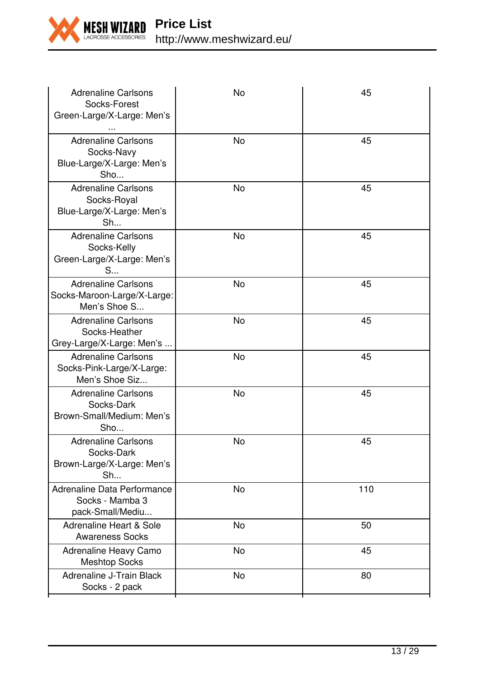

| <b>Adrenaline Carlsons</b><br>Socks-Forest<br>Green-Large/X-Large: Men's<br>$\cdots$ | No        | 45  |
|--------------------------------------------------------------------------------------|-----------|-----|
| <b>Adrenaline Carlsons</b><br>Socks-Navy<br>Blue-Large/X-Large: Men's<br>Sho         | No        | 45  |
| <b>Adrenaline Carlsons</b><br>Socks-Royal<br>Blue-Large/X-Large: Men's<br>Sh         | No        | 45  |
| <b>Adrenaline Carlsons</b><br>Socks-Kelly<br>Green-Large/X-Large: Men's<br>S         | No        | 45  |
| <b>Adrenaline Carlsons</b><br>Socks-Maroon-Large/X-Large:<br>Men's Shoe S            | No        | 45  |
| <b>Adrenaline Carlsons</b><br>Socks-Heather<br>Grey-Large/X-Large: Men's             | No        | 45  |
| <b>Adrenaline Carlsons</b><br>Socks-Pink-Large/X-Large:<br>Men's Shoe Siz            | No        | 45  |
| <b>Adrenaline Carlsons</b><br>Socks-Dark<br>Brown-Small/Medium: Men's<br>Sho         | <b>No</b> | 45  |
| <b>Adrenaline Carlsons</b><br>Socks-Dark<br>Brown-Large/X-Large: Men's<br>Sh         | <b>No</b> | 45  |
| Adrenaline Data Performance<br>Socks - Mamba 3<br>pack-Small/Mediu                   | <b>No</b> | 110 |
| Adrenaline Heart & Sole<br><b>Awareness Socks</b>                                    | No        | 50  |
| Adrenaline Heavy Camo<br><b>Meshtop Socks</b>                                        | No        | 45  |
| Adrenaline J-Train Black<br>Socks - 2 pack                                           | No        | 80  |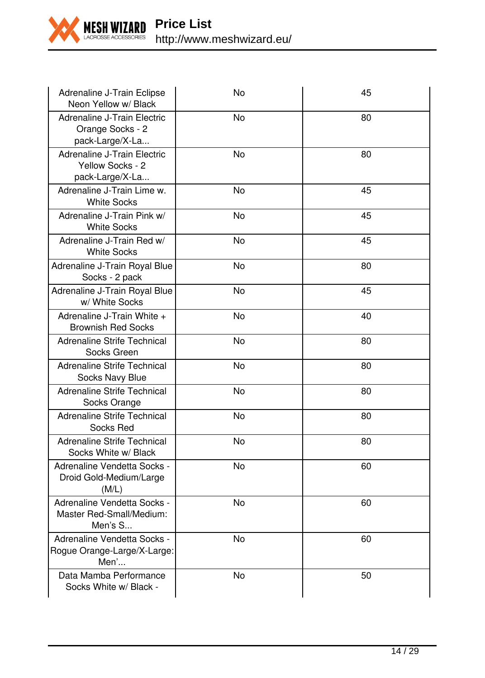

| Adrenaline J-Train Eclipse<br>Neon Yellow w/ Black                 | No        | 45 |
|--------------------------------------------------------------------|-----------|----|
| Adrenaline J-Train Electric<br>Orange Socks - 2<br>pack-Large/X-La | <b>No</b> | 80 |
| Adrenaline J-Train Electric<br>Yellow Socks - 2<br>pack-Large/X-La | No        | 80 |
| Adrenaline J-Train Lime w.<br><b>White Socks</b>                   | <b>No</b> | 45 |
| Adrenaline J-Train Pink w/<br><b>White Socks</b>                   | No        | 45 |
| Adrenaline J-Train Red w/<br><b>White Socks</b>                    | <b>No</b> | 45 |
| Adrenaline J-Train Royal Blue<br>Socks - 2 pack                    | No        | 80 |
| Adrenaline J-Train Royal Blue<br>w/ White Socks                    | No        | 45 |
| Adrenaline J-Train White +<br><b>Brownish Red Socks</b>            | No        | 40 |
| Adrenaline Strife Technical<br>Socks Green                         | No        | 80 |
| Adrenaline Strife Technical<br>Socks Navy Blue                     | <b>No</b> | 80 |
| Adrenaline Strife Technical<br>Socks Orange                        | No        | 80 |
| Adrenaline Strife Technical<br>Socks Red                           | <b>No</b> | 80 |
| Adrenaline Strife Technical<br>Socks White w/ Black                | No        | 80 |
| Adrenaline Vendetta Socks -<br>Droid Gold-Medium/Large<br>(M/L)    | No        | 60 |
| Adrenaline Vendetta Socks -<br>Master Red-Small/Medium:<br>Men's S | No        | 60 |
| Adrenaline Vendetta Socks -<br>Rogue Orange-Large/X-Large:<br>Men' | No        | 60 |
| Data Mamba Performance<br>Socks White w/ Black -                   | No        | 50 |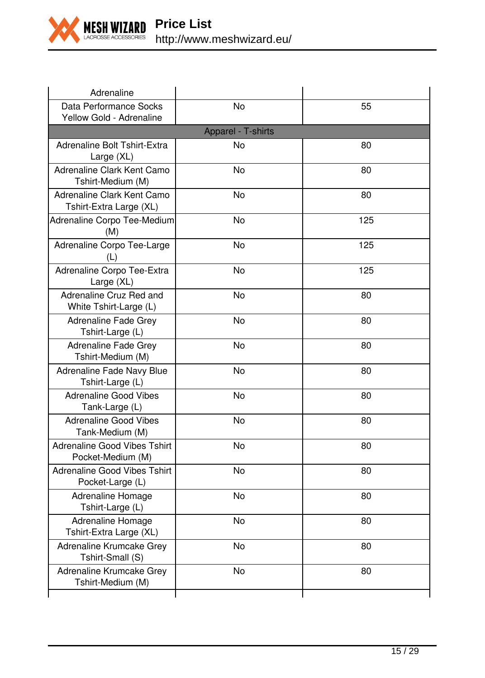

| Adrenaline                                            |                    |     |
|-------------------------------------------------------|--------------------|-----|
| Data Performance Socks<br>Yellow Gold - Adrenaline    | No                 | 55  |
|                                                       | Apparel - T-shirts |     |
| Adrenaline Bolt Tshirt-Extra<br>Large (XL)            | No                 | 80  |
| Adrenaline Clark Kent Camo<br>Tshirt-Medium (M)       | No                 | 80  |
| Adrenaline Clark Kent Camo<br>Tshirt-Extra Large (XL) | No                 | 80  |
| Adrenaline Corpo Tee-Medium<br>(M)                    | No                 | 125 |
| Adrenaline Corpo Tee-Large<br>(L)                     | No                 | 125 |
| Adrenaline Corpo Tee-Extra<br>Large (XL)              | No                 | 125 |
| Adrenaline Cruz Red and<br>White Tshirt-Large (L)     | No                 | 80  |
| Adrenaline Fade Grey<br>Tshirt-Large (L)              | No                 | 80  |
| Adrenaline Fade Grey<br>Tshirt-Medium (M)             | No                 | 80  |
| Adrenaline Fade Navy Blue<br>Tshirt-Large (L)         | No                 | 80  |
| <b>Adrenaline Good Vibes</b><br>Tank-Large (L)        | No                 | 80  |
| <b>Adrenaline Good Vibes</b><br>Tank-Medium (M)       | No                 | 80  |
| Adrenaline Good Vibes Tshirt<br>Pocket-Medium (M)     | No                 | 80  |
| Adrenaline Good Vibes Tshirt<br>Pocket-Large (L)      | No                 | 80  |
| Adrenaline Homage<br>Tshirt-Large (L)                 | No                 | 80  |
| Adrenaline Homage<br>Tshirt-Extra Large (XL)          | <b>No</b>          | 80  |
| Adrenaline Krumcake Grey<br>Tshirt-Small (S)          | No                 | 80  |
| Adrenaline Krumcake Grey<br>Tshirt-Medium (M)         | No                 | 80  |
|                                                       |                    |     |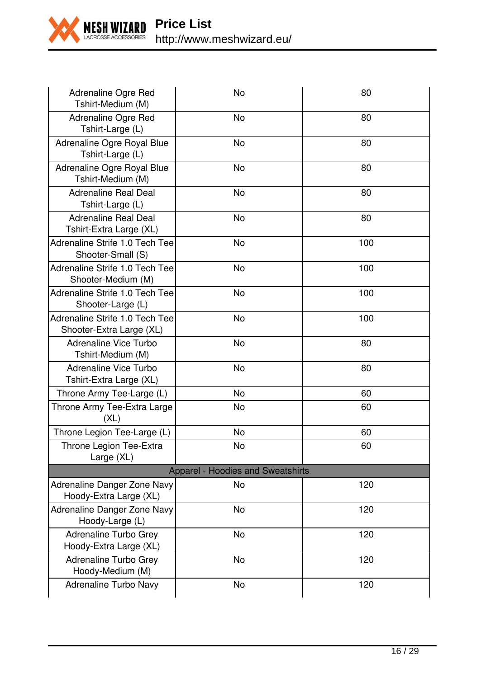

| Adrenaline Ogre Red<br>Tshirt-Medium (M)                   | No                                | 80  |
|------------------------------------------------------------|-----------------------------------|-----|
| Adrenaline Ogre Red<br>Tshirt-Large (L)                    | <b>No</b>                         | 80  |
| Adrenaline Ogre Royal Blue<br>Tshirt-Large (L)             | <b>No</b>                         | 80  |
| Adrenaline Ogre Royal Blue<br>Tshirt-Medium (M)            | No                                | 80  |
| <b>Adrenaline Real Deal</b><br>Tshirt-Large (L)            | <b>No</b>                         | 80  |
| Adrenaline Real Deal<br>Tshirt-Extra Large (XL)            | <b>No</b>                         | 80  |
| Adrenaline Strife 1.0 Tech Tee<br>Shooter-Small (S)        | No                                | 100 |
| Adrenaline Strife 1.0 Tech Tee<br>Shooter-Medium (M)       | <b>No</b>                         | 100 |
| Adrenaline Strife 1.0 Tech Tee<br>Shooter-Large (L)        | <b>No</b>                         | 100 |
| Adrenaline Strife 1.0 Tech Tee<br>Shooter-Extra Large (XL) | No                                | 100 |
| Adrenaline Vice Turbo<br>Tshirt-Medium (M)                 | <b>No</b>                         | 80  |
| Adrenaline Vice Turbo<br>Tshirt-Extra Large (XL)           | No                                | 80  |
| Throne Army Tee-Large (L)                                  | No                                | 60  |
| Throne Army Tee-Extra Large<br>(XL)                        | No                                | 60  |
| Throne Legion Tee-Large (L)                                | No                                | 60  |
| Throne Legion Tee-Extra<br>Large (XL)                      | <b>No</b>                         | 60  |
|                                                            | Apparel - Hoodies and Sweatshirts |     |
| Adrenaline Danger Zone Navy<br>Hoody-Extra Large (XL)      | No                                | 120 |
| Adrenaline Danger Zone Navy<br>Hoody-Large (L)             | <b>No</b>                         | 120 |
| Adrenaline Turbo Grey<br>Hoody-Extra Large (XL)            | No                                | 120 |
| Adrenaline Turbo Grey<br>Hoody-Medium (M)                  | No                                | 120 |
| Adrenaline Turbo Navy                                      | No                                | 120 |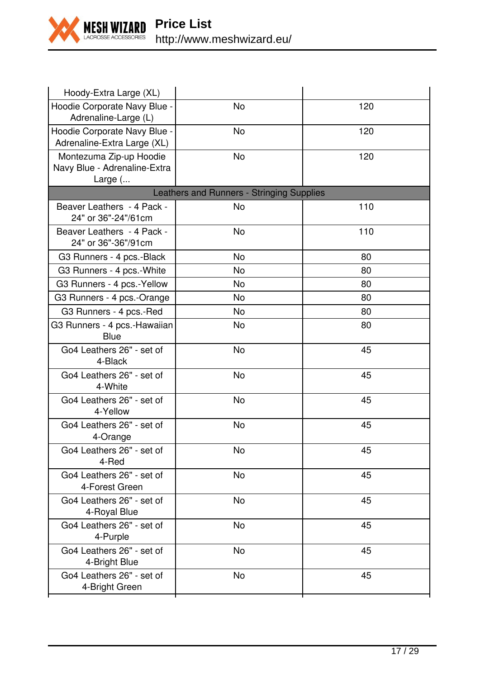

| Hoody-Extra Large (XL)                                             |                                           |     |
|--------------------------------------------------------------------|-------------------------------------------|-----|
| Hoodie Corporate Navy Blue -<br>Adrenaline-Large (L)               | No                                        | 120 |
| Hoodie Corporate Navy Blue -<br>Adrenaline-Extra Large (XL)        | <b>No</b>                                 | 120 |
| Montezuma Zip-up Hoodie<br>Navy Blue - Adrenaline-Extra<br>Large ( | <b>No</b>                                 | 120 |
|                                                                    | Leathers and Runners - Stringing Supplies |     |
| Beaver Leathers - 4 Pack -<br>24" or 36"-24"/61cm                  | No                                        | 110 |
| Beaver Leathers - 4 Pack -<br>24" or 36"-36"/91cm                  | No                                        | 110 |
| G3 Runners - 4 pcs.-Black                                          | No                                        | 80  |
| G3 Runners - 4 pcs.-White                                          | <b>No</b>                                 | 80  |
| G3 Runners - 4 pcs.-Yellow                                         | No                                        | 80  |
| G3 Runners - 4 pcs.-Orange                                         | No                                        | 80  |
| G3 Runners - 4 pcs.-Red                                            | <b>No</b>                                 | 80  |
| G3 Runners - 4 pcs.-Hawaiian<br>Blue                               | No                                        | 80  |
| Go4 Leathers 26" - set of<br>4-Black                               | No                                        | 45  |
| Go4 Leathers 26" - set of<br>4-White                               | No                                        | 45  |
| Go4 Leathers 26" - set of<br>4-Yellow                              | <b>No</b>                                 | 45  |
| Go4 Leathers 26" - set of<br>4-Orange                              | <b>No</b>                                 | 45  |
| Go4 Leathers 26" - set of<br>4-Red                                 | No                                        | 45  |
| Go4 Leathers 26" - set of<br>4-Forest Green                        | <b>No</b>                                 | 45  |
| Go4 Leathers 26" - set of<br>4-Royal Blue                          | No                                        | 45  |
| Go4 Leathers 26" - set of<br>4-Purple                              | No                                        | 45  |
| Go4 Leathers 26" - set of<br>4-Bright Blue                         | <b>No</b>                                 | 45  |
| Go4 Leathers 26" - set of<br>4-Bright Green                        | No                                        | 45  |
|                                                                    |                                           |     |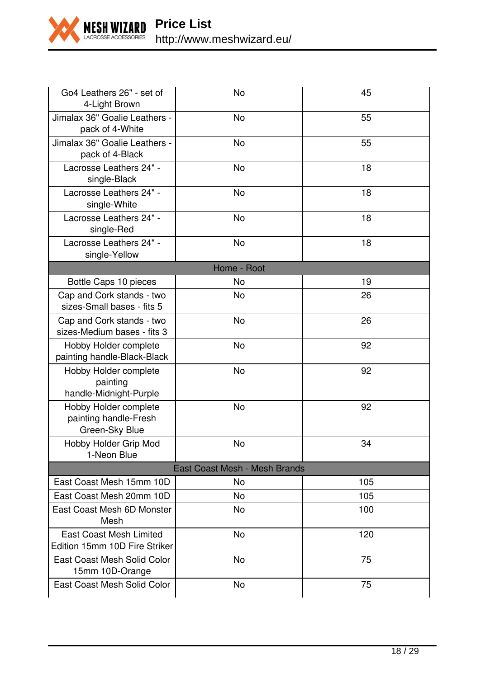

| Go4 Leathers 26" - set of<br>4-Light Brown                       | No                            | 45  |
|------------------------------------------------------------------|-------------------------------|-----|
| Jimalax 36" Goalie Leathers -<br>pack of 4-White                 | No                            | 55  |
| Jimalax 36" Goalie Leathers -<br>pack of 4-Black                 | No                            | 55  |
| Lacrosse Leathers 24" -<br>single-Black                          | No                            | 18  |
| Lacrosse Leathers 24" -<br>single-White                          | <b>No</b>                     | 18  |
| Lacrosse Leathers 24" -<br>single-Red                            | <b>No</b>                     | 18  |
| Lacrosse Leathers 24" -<br>single-Yellow                         | No                            | 18  |
|                                                                  | Home - Root                   |     |
| Bottle Caps 10 pieces                                            | No                            | 19  |
| Cap and Cork stands - two<br>sizes-Small bases - fits 5          | <b>No</b>                     | 26  |
| Cap and Cork stands - two<br>sizes-Medium bases - fits 3         | No                            | 26  |
| Hobby Holder complete<br>painting handle-Black-Black             | No                            | 92  |
| Hobby Holder complete<br>painting<br>handle-Midnight-Purple      | No                            | 92  |
| Hobby Holder complete<br>painting handle-Fresh<br>Green-Sky Blue | No                            | 92  |
| Hobby Holder Grip Mod<br>1-Neon Blue                             | No                            | 34  |
|                                                                  | East Coast Mesh - Mesh Brands |     |
| East Coast Mesh 15mm 10D                                         | No                            | 105 |
| East Coast Mesh 20mm 10D                                         | No                            | 105 |
| East Coast Mesh 6D Monster<br>Mesh                               | No                            | 100 |
| East Coast Mesh Limited<br>Edition 15mm 10D Fire Striker         | <b>No</b>                     | 120 |
| East Coast Mesh Solid Color<br>15mm 10D-Orange                   | No                            | 75  |
| East Coast Mesh Solid Color                                      | <b>No</b>                     | 75  |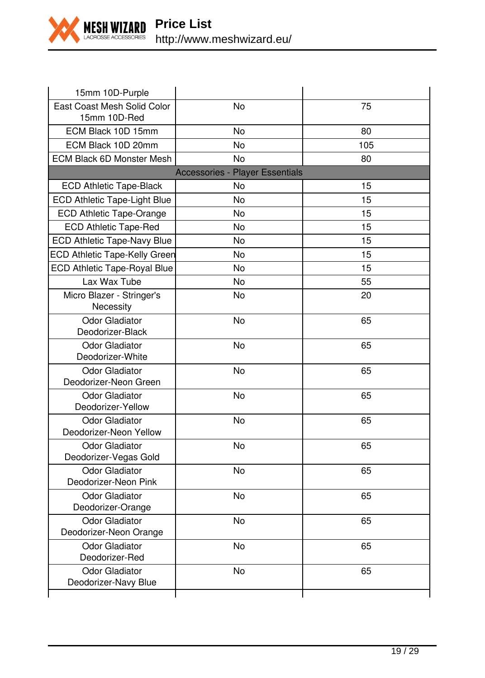

| 15mm 10D-Purple                                 |                                 |     |
|-------------------------------------------------|---------------------------------|-----|
| East Coast Mesh Solid Color<br>15mm 10D-Red     | No                              | 75  |
| ECM Black 10D 15mm                              | No                              | 80  |
| ECM Black 10D 20mm                              | No                              | 105 |
| <b>ECM Black 6D Monster Mesh</b>                | No                              | 80  |
|                                                 | Accessories - Player Essentials |     |
| <b>ECD Athletic Tape-Black</b>                  | No                              | 15  |
| ECD Athletic Tape-Light Blue                    | No                              | 15  |
| ECD Athletic Tape-Orange                        | No                              | 15  |
| <b>ECD Athletic Tape-Red</b>                    | No                              | 15  |
| ECD Athletic Tape-Navy Blue                     | No                              | 15  |
| <b>ECD Athletic Tape-Kelly Green</b>            | <b>No</b>                       | 15  |
| ECD Athletic Tape-Royal Blue                    | <b>No</b>                       | 15  |
| Lax Wax Tube                                    | <b>No</b>                       | 55  |
| Micro Blazer - Stringer's<br>Necessity          | <b>No</b>                       | 20  |
| Odor Gladiator<br>Deodorizer-Black              | No                              | 65  |
| Odor Gladiator<br>Deodorizer-White              | No                              | 65  |
| <b>Odor Gladiator</b><br>Deodorizer-Neon Green  | <b>No</b>                       | 65  |
| <b>Odor Gladiator</b><br>Deodorizer-Yellow      | No                              | 65  |
| <b>Odor Gladiator</b><br>Deodorizer-Neon Yellow | <b>No</b>                       | 65  |
| <b>Odor Gladiator</b><br>Deodorizer-Vegas Gold  | <b>No</b>                       | 65  |
| <b>Odor Gladiator</b><br>Deodorizer-Neon Pink   | No                              | 65  |
| <b>Odor Gladiator</b><br>Deodorizer-Orange      | <b>No</b>                       | 65  |
| Odor Gladiator<br>Deodorizer-Neon Orange        | No                              | 65  |
| Odor Gladiator<br>Deodorizer-Red                | <b>No</b>                       | 65  |
| Odor Gladiator<br>Deodorizer-Navy Blue          | <b>No</b>                       | 65  |
|                                                 |                                 |     |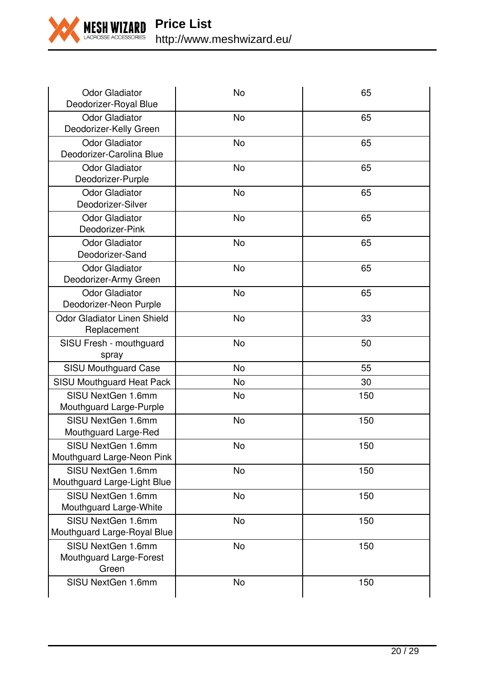

| <b>Odor Gladiator</b><br>Deodorizer-Royal Blue         | No        | 65  |
|--------------------------------------------------------|-----------|-----|
| Odor Gladiator<br>Deodorizer-Kelly Green               | <b>No</b> | 65  |
| <b>Odor Gladiator</b><br>Deodorizer-Carolina Blue      | No        | 65  |
| <b>Odor Gladiator</b><br>Deodorizer-Purple             | No        | 65  |
| <b>Odor Gladiator</b><br>Deodorizer-Silver             | <b>No</b> | 65  |
| Odor Gladiator<br>Deodorizer-Pink                      | <b>No</b> | 65  |
| <b>Odor Gladiator</b><br>Deodorizer-Sand               | <b>No</b> | 65  |
| <b>Odor Gladiator</b><br>Deodorizer-Army Green         | No        | 65  |
| <b>Odor Gladiator</b><br>Deodorizer-Neon Purple        | No        | 65  |
| Odor Gladiator Linen Shield<br>Replacement             | No        | 33  |
| SISU Fresh - mouthguard<br>spray                       | <b>No</b> | 50  |
| SISU Mouthguard Case                                   | No        | 55  |
| SISU Mouthguard Heat Pack                              | No        | 30  |
| SISU NextGen 1.6mm<br>Mouthguard Large-Purple          | <b>No</b> | 150 |
| SISU NextGen 1.6mm<br>Mouthguard Large-Red             | <b>No</b> | 150 |
| SISU NextGen 1.6mm<br>Mouthguard Large-Neon Pink       | No        | 150 |
| SISU NextGen 1.6mm<br>Mouthguard Large-Light Blue      | No        | 150 |
| SISU NextGen 1.6mm<br>Mouthguard Large-White           | No        | 150 |
| SISU NextGen 1.6mm<br>Mouthguard Large-Royal Blue      | <b>No</b> | 150 |
| SISU NextGen 1.6mm<br>Mouthguard Large-Forest<br>Green | No        | 150 |
| SISU NextGen 1.6mm                                     | No        | 150 |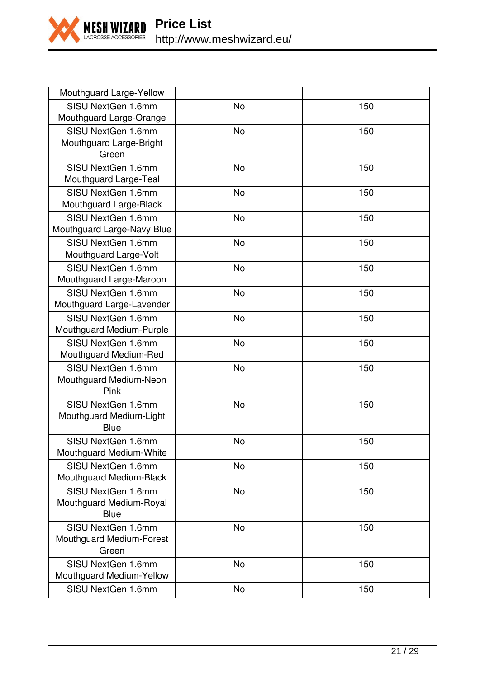

| Mouthguard Large-Yellow                                 |           |     |
|---------------------------------------------------------|-----------|-----|
| SISU NextGen 1.6mm<br>Mouthguard Large-Orange           | No        | 150 |
| SISU NextGen 1.6mm<br>Mouthguard Large-Bright<br>Green  | <b>No</b> | 150 |
| SISU NextGen 1.6mm<br>Mouthguard Large-Teal             | <b>No</b> | 150 |
| SISU NextGen 1.6mm<br>Mouthguard Large-Black            | No        | 150 |
| SISU NextGen 1.6mm<br>Mouthguard Large-Navy Blue        | No        | 150 |
| SISU NextGen 1.6mm<br>Mouthguard Large-Volt             | <b>No</b> | 150 |
| SISU NextGen 1.6mm<br>Mouthguard Large-Maroon           | <b>No</b> | 150 |
| SISU NextGen 1.6mm<br>Mouthguard Large-Lavender         | No        | 150 |
| SISU NextGen 1.6mm<br>Mouthguard Medium-Purple          | No        | 150 |
| SISU NextGen 1.6mm<br>Mouthguard Medium-Red             | <b>No</b> | 150 |
| SISU NextGen 1.6mm<br>Mouthquard Medium-Neon<br>Pink    | <b>No</b> | 150 |
| SISU NextGen 1.6mm<br>Mouthguard Medium-Light<br>Blue   | No        | 150 |
| SISU NextGen 1.6mm<br>Mouthguard Medium-White           | <b>No</b> | 150 |
| SISU NextGen 1.6mm<br>Mouthguard Medium-Black           | <b>No</b> | 150 |
| SISU NextGen 1.6mm<br>Mouthguard Medium-Royal<br>Blue   | No        | 150 |
| SISU NextGen 1.6mm<br>Mouthguard Medium-Forest<br>Green | No        | 150 |
| SISU NextGen 1.6mm<br>Mouthguard Medium-Yellow          | <b>No</b> | 150 |
| SISU NextGen 1.6mm                                      | <b>No</b> | 150 |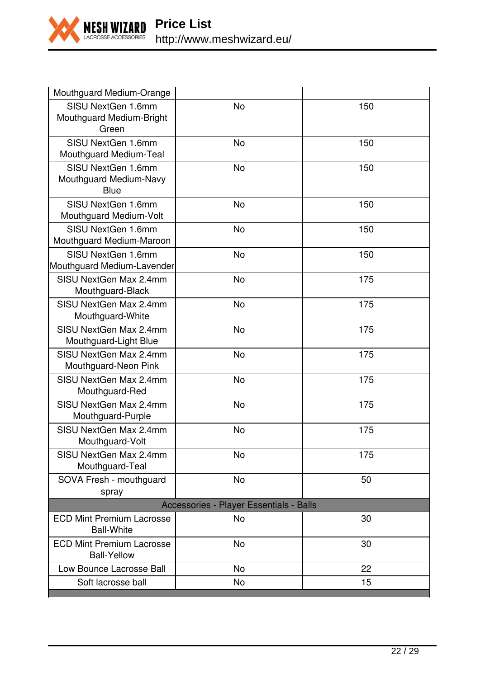

| Mouthguard Medium-Orange                                |           |     |
|---------------------------------------------------------|-----------|-----|
| SISU NextGen 1.6mm<br>Mouthquard Medium-Bright<br>Green | No        | 150 |
| SISU NextGen 1.6mm<br>Mouthguard Medium-Teal            | <b>No</b> | 150 |
| SISU NextGen 1.6mm<br>Mouthguard Medium-Navy<br>Blue    | No        | 150 |
| SISU NextGen 1.6mm<br>Mouthguard Medium-Volt            | No        | 150 |
| SISU NextGen 1.6mm<br>Mouthguard Medium-Maroon          | No        | 150 |
| SISU NextGen 1.6mm<br>Mouthguard Medium-Lavender        | <b>No</b> | 150 |
| SISU NextGen Max 2.4mm<br>Mouthguard-Black              | No        | 175 |
| SISU NextGen Max 2.4mm<br>Mouthguard-White              | No        | 175 |
| SISU NextGen Max 2.4mm<br>Mouthguard-Light Blue         | No        | 175 |
| SISU NextGen Max 2.4mm<br>Mouthguard-Neon Pink          | <b>No</b> | 175 |
| SISU NextGen Max 2.4mm<br>Mouthguard-Red                | No        | 175 |
| SISU NextGen Max 2.4mm<br>Mouthguard-Purple             | <b>No</b> | 175 |
| SISU NextGen Max 2.4mm<br>Mouthguard-Volt               | No        | 175 |
| SISU NextGen Max 2.4mm<br>Mouthguard-Teal               | No        | 175 |
| SOVA Fresh - mouthguard<br>spray                        | No        | 50  |
| Accessories - Player Essentials - Balls                 |           |     |
| <b>ECD Mint Premium Lacrosse</b><br><b>Ball-White</b>   | No        | 30  |
| <b>ECD Mint Premium Lacrosse</b><br><b>Ball-Yellow</b>  | No        | 30  |
| Low Bounce Lacrosse Ball                                | No        | 22  |
| Soft lacrosse ball                                      | No        | 15  |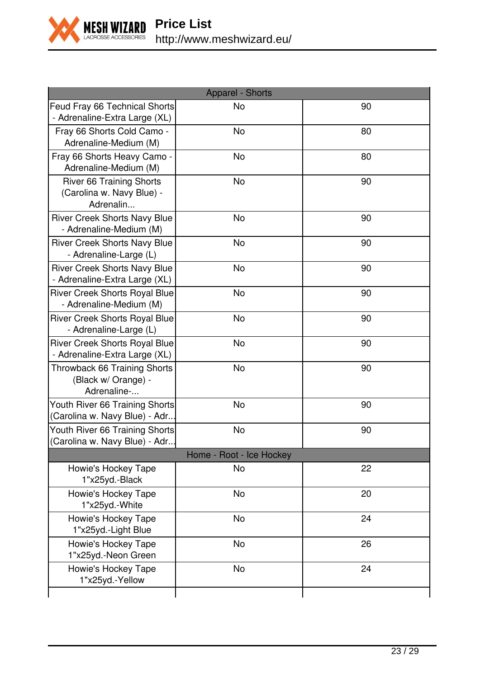

| Apparel - Shorts                                                      |           |    |
|-----------------------------------------------------------------------|-----------|----|
| Feud Fray 66 Technical Shorts<br>- Adrenaline-Extra Large (XL)        | No        | 90 |
| Fray 66 Shorts Cold Camo -<br>Adrenaline-Medium (M)                   | <b>No</b> | 80 |
| Fray 66 Shorts Heavy Camo -<br>Adrenaline-Medium (M)                  | <b>No</b> | 80 |
| River 66 Training Shorts<br>(Carolina w. Navy Blue) -<br>Adrenalin    | No        | 90 |
| <b>River Creek Shorts Navy Blue</b><br>- Adrenaline-Medium (M)        | No        | 90 |
| <b>River Creek Shorts Navy Blue</b><br>- Adrenaline-Large (L)         | No        | 90 |
| <b>River Creek Shorts Navy Blue</b><br>- Adrenaline-Extra Large (XL)  | No        | 90 |
| River Creek Shorts Royal Blue<br>- Adrenaline-Medium (M)              | No        | 90 |
| River Creek Shorts Royal Blue<br>- Adrenaline-Large (L)               | No        | 90 |
| <b>River Creek Shorts Royal Blue</b><br>- Adrenaline-Extra Large (XL) | <b>No</b> | 90 |
| Throwback 66 Training Shorts<br>(Black w/ Orange) -<br>Adrenaline-    | No        | 90 |
| Youth River 66 Training Shorts<br>(Carolina w. Navy Blue) - Adr       | No        | 90 |
| Youth River 66 Training Shorts<br>(Carolina w. Navy Blue) - Adr       | No        | 90 |
| Home - Root - Ice Hockey                                              |           |    |
| Howie's Hockey Tape<br>1"x25yd.-Black                                 | No        | 22 |
| Howie's Hockey Tape<br>1"x25yd.-White                                 | <b>No</b> | 20 |
| Howie's Hockey Tape<br>1"x25yd.-Light Blue                            | No        | 24 |
| Howie's Hockey Tape<br>1"x25yd.-Neon Green                            | <b>No</b> | 26 |
| Howie's Hockey Tape<br>1"x25yd.-Yellow                                | No        | 24 |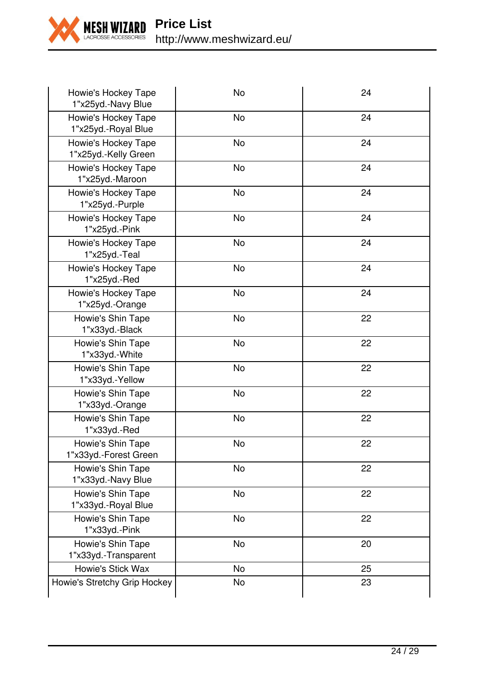

**Price List** http://www.meshwizard.eu/

| Howie's Hockey Tape<br>1"x25yd.-Navy Blue   | No        | 24 |
|---------------------------------------------|-----------|----|
| Howie's Hockey Tape<br>1"x25yd.-Royal Blue  | No        | 24 |
| Howie's Hockey Tape<br>1"x25yd.-Kelly Green | No        | 24 |
| Howie's Hockey Tape<br>1"x25yd.-Maroon      | <b>No</b> | 24 |
| Howie's Hockey Tape<br>1"x25yd.-Purple      | <b>No</b> | 24 |
| Howie's Hockey Tape<br>1"x25yd.-Pink        | No        | 24 |
| Howie's Hockey Tape<br>1"x25yd.-Teal        | No        | 24 |
| Howie's Hockey Tape<br>1"x25yd.-Red         | No        | 24 |
| Howie's Hockey Tape<br>1"x25yd.-Orange      | No        | 24 |
| Howie's Shin Tape<br>1"x33yd.-Black         | No        | 22 |
| Howie's Shin Tape<br>1"x33yd.-White         | No        | 22 |
| Howie's Shin Tape<br>1"x33yd.-Yellow        | No        | 22 |
| Howie's Shin Tape<br>1"x33yd.-Orange        | <b>No</b> | 22 |
| Howie's Shin Tape<br>1"x33yd.-Red           | No        | 22 |
| Howie's Shin Tape<br>1"x33yd.-Forest Green  | No        | 22 |
| Howie's Shin Tape<br>1"x33yd.-Navy Blue     | No        | 22 |
| Howie's Shin Tape<br>1"x33yd.-Royal Blue    | No        | 22 |
| Howie's Shin Tape<br>1"x33yd.-Pink          | No        | 22 |
| Howie's Shin Tape<br>1"x33yd.-Transparent   | <b>No</b> | 20 |
| Howie's Stick Wax                           | <b>No</b> | 25 |
| Howie's Stretchy Grip Hockey                | No        | 23 |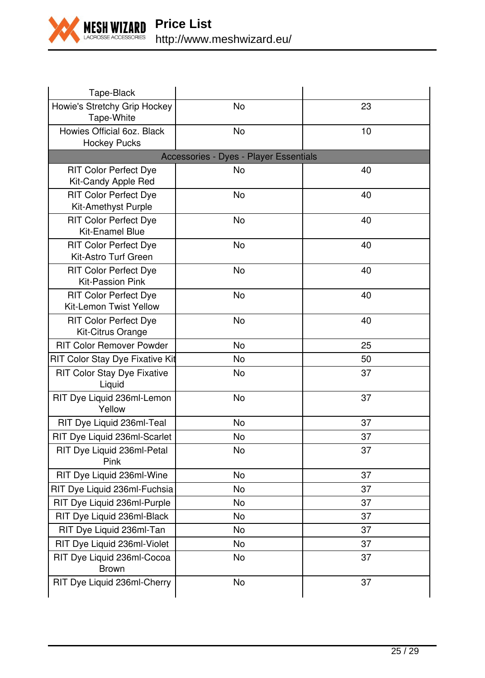

| Tape-Black                                             |                                        |    |
|--------------------------------------------------------|----------------------------------------|----|
| Howie's Stretchy Grip Hockey<br>Tape-White             | No                                     | 23 |
| Howies Official 6oz. Black<br><b>Hockey Pucks</b>      | <b>No</b>                              | 10 |
|                                                        | Accessories - Dyes - Player Essentials |    |
| RIT Color Perfect Dye<br>Kit-Candy Apple Red           | No                                     | 40 |
| <b>RIT Color Perfect Dye</b><br>Kit-Amethyst Purple    | <b>No</b>                              | 40 |
| <b>RIT Color Perfect Dye</b><br>Kit-Enamel Blue        | <b>No</b>                              | 40 |
| <b>RIT Color Perfect Dye</b><br>Kit-Astro Turf Green   | No                                     | 40 |
| <b>RIT Color Perfect Dye</b><br>Kit-Passion Pink       | <b>No</b>                              | 40 |
| <b>RIT Color Perfect Dye</b><br>Kit-Lemon Twist Yellow | No                                     | 40 |
| RIT Color Perfect Dye<br>Kit-Citrus Orange             | No                                     | 40 |
| <b>RIT Color Remover Powder</b>                        | No                                     | 25 |
| RIT Color Stay Dye Fixative Kit                        | No                                     | 50 |
| RIT Color Stay Dye Fixative<br>Liquid                  | No                                     | 37 |
| RIT Dye Liquid 236ml-Lemon<br>Yellow                   | No                                     | 37 |
| RIT Dye Liquid 236ml-Teal                              | <b>No</b>                              | 37 |
| RIT Dye Liquid 236ml-Scarlet                           | No                                     | 37 |
| RIT Dye Liquid 236ml-Petal<br>Pink                     | No                                     | 37 |
| RIT Dye Liquid 236ml-Wine                              | No                                     | 37 |
| RIT Dye Liquid 236ml-Fuchsia                           | No                                     | 37 |
| RIT Dye Liquid 236ml-Purple                            | No                                     | 37 |
| RIT Dye Liquid 236ml-Black                             | No                                     | 37 |
| RIT Dye Liquid 236ml-Tan                               | No                                     | 37 |
| RIT Dye Liquid 236ml-Violet                            | No                                     | 37 |
| RIT Dye Liquid 236ml-Cocoa<br><b>Brown</b>             | No                                     | 37 |
| RIT Dye Liquid 236ml-Cherry                            | No                                     | 37 |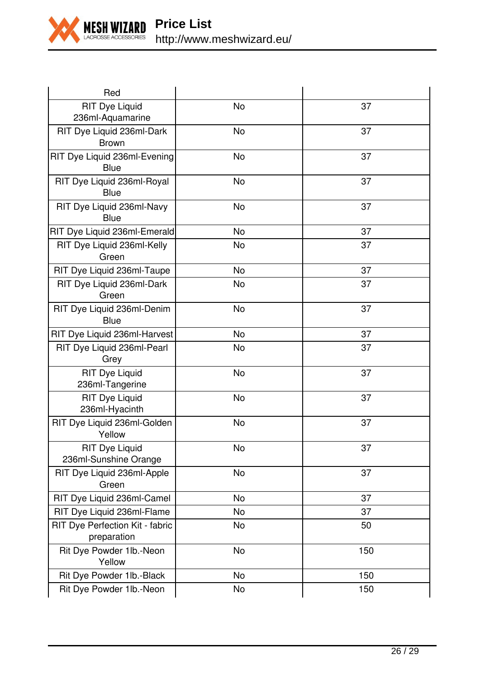

| Red                                            |           |     |
|------------------------------------------------|-----------|-----|
| <b>RIT Dye Liquid</b><br>236ml-Aquamarine      | No        | 37  |
| RIT Dye Liquid 236ml-Dark<br>Brown             | No        | 37  |
| RIT Dye Liquid 236ml-Evening<br>Blue           | No        | 37  |
| RIT Dye Liquid 236ml-Royal<br>Blue             | <b>No</b> | 37  |
| RIT Dye Liquid 236ml-Navy<br>Blue              | No        | 37  |
| RIT Dye Liquid 236ml-Emerald                   | No        | 37  |
| RIT Dye Liquid 236ml-Kelly<br>Green            | No        | 37  |
| RIT Dye Liquid 236ml-Taupe                     | <b>No</b> | 37  |
| RIT Dye Liquid 236ml-Dark<br>Green             | <b>No</b> | 37  |
| RIT Dye Liquid 236ml-Denim<br>Blue             | No        | 37  |
| RIT Dye Liquid 236ml-Harvest                   | No        | 37  |
| RIT Dye Liquid 236ml-Pearl<br>Grey             | No        | 37  |
| <b>RIT Dye Liquid</b><br>236ml-Tangerine       | <b>No</b> | 37  |
| <b>RIT Dye Liquid</b><br>236ml-Hyacinth        | No        | 37  |
| RIT Dye Liquid 236ml-Golden<br>Yellow          | No        | 37  |
| <b>RIT Dye Liquid</b><br>236ml-Sunshine Orange | No        | 37  |
| RIT Dye Liquid 236ml-Apple<br>Green            | No        | 37  |
| RIT Dye Liquid 236ml-Camel                     | No        | 37  |
| RIT Dye Liquid 236ml-Flame                     | No        | 37  |
| RIT Dye Perfection Kit - fabric<br>preparation | No        | 50  |
| Rit Dye Powder 1lb.-Neon<br>Yellow             | <b>No</b> | 150 |
| Rit Dye Powder 1lb.-Black                      | No        | 150 |
| Rit Dye Powder 1lb.-Neon                       | No        | 150 |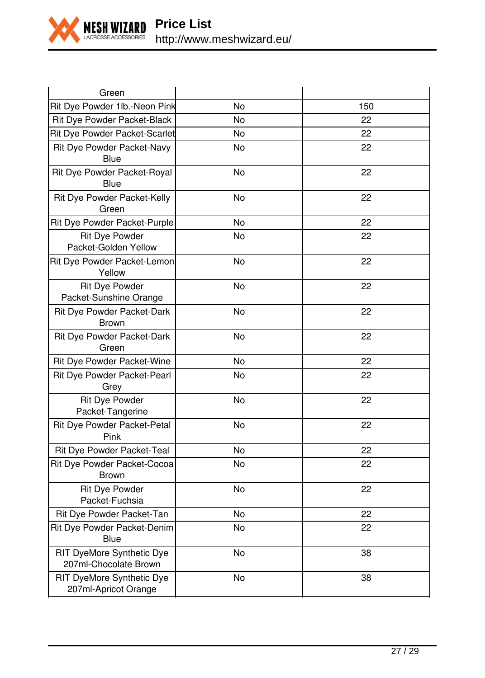

| No                            | 150 |
|-------------------------------|-----|
| No                            | 22  |
| No                            | 22  |
| No                            | 22  |
| No                            | 22  |
| No                            | 22  |
| No                            | 22  |
| No                            | 22  |
| <b>No</b>                     | 22  |
| No                            | 22  |
| <b>No</b>                     | 22  |
| No                            | 22  |
| No                            | 22  |
| No                            | 22  |
| <b>No</b>                     | 22  |
| No                            | 22  |
| No                            | 22  |
| <b>No</b>                     | 22  |
| No                            | 22  |
| No                            | 22  |
| No                            | 22  |
| No                            | 38  |
| No                            | 38  |
| Rit Dye Powder 1lb.-Neon Pink |     |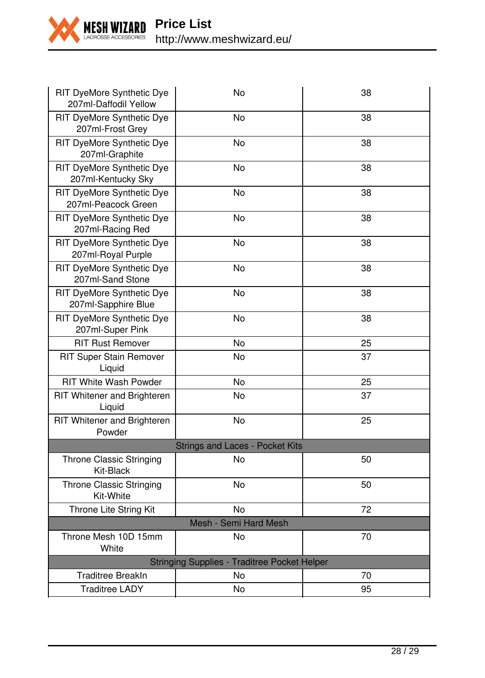

| RIT DyeMore Synthetic Dye<br>207ml-Daffodil Yellow  | No        | 38 |  |  |  |
|-----------------------------------------------------|-----------|----|--|--|--|
| RIT DyeMore Synthetic Dye<br>207ml-Frost Grey       | <b>No</b> | 38 |  |  |  |
| RIT DyeMore Synthetic Dye<br>207ml-Graphite         | No        | 38 |  |  |  |
| RIT DyeMore Synthetic Dye<br>207ml-Kentucky Sky     | No        | 38 |  |  |  |
| RIT DyeMore Synthetic Dye<br>207ml-Peacock Green    | No        | 38 |  |  |  |
| RIT DyeMore Synthetic Dye<br>207ml-Racing Red       | <b>No</b> | 38 |  |  |  |
| RIT DyeMore Synthetic Dye<br>207ml-Royal Purple     | No        | 38 |  |  |  |
| RIT DyeMore Synthetic Dye<br>207ml-Sand Stone       | No        | 38 |  |  |  |
| RIT DyeMore Synthetic Dye<br>207ml-Sapphire Blue    | No        | 38 |  |  |  |
| RIT DyeMore Synthetic Dye<br>207ml-Super Pink       | No        | 38 |  |  |  |
| <b>RIT Rust Remover</b>                             | No        | 25 |  |  |  |
| RIT Super Stain Remover<br>Liquid                   | No        | 37 |  |  |  |
| <b>RIT White Wash Powder</b>                        | No        | 25 |  |  |  |
| RIT Whitener and Brighteren<br>Liquid               | No        | 37 |  |  |  |
| RIT Whitener and Brighteren<br>Powder               | No        | 25 |  |  |  |
| <b>Strings and Laces - Pocket Kits</b>              |           |    |  |  |  |
| <b>Throne Classic Stringing</b><br>Kit-Black        | <b>No</b> | 50 |  |  |  |
| Throne Classic Stringing<br>Kit-White               | No        | 50 |  |  |  |
| Throne Lite String Kit                              | <b>No</b> | 72 |  |  |  |
| Mesh - Semi Hard Mesh                               |           |    |  |  |  |
| Throne Mesh 10D 15mm<br>White                       | No        | 70 |  |  |  |
| <b>Stringing Supplies - Traditree Pocket Helper</b> |           |    |  |  |  |
| <b>Traditree BreakIn</b>                            | No        | 70 |  |  |  |
| <b>Traditree LADY</b>                               | No        | 95 |  |  |  |